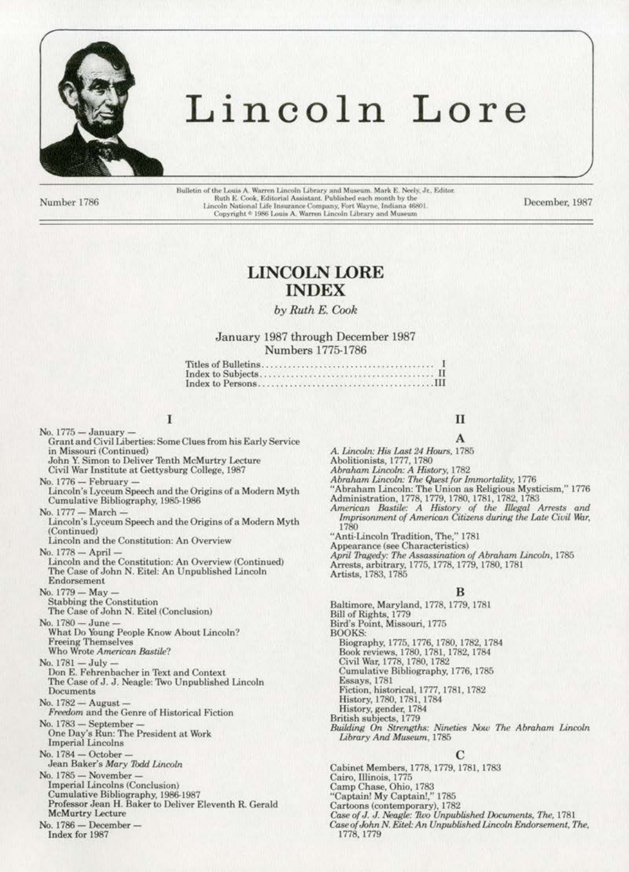

# Lincoln Lore

Number 1786

Bulletin of the Louis A. Warren Lincoln Library and Museum. Mark E. Neely, Jr., Editor. Ruth E. Cook, Editorial Assistant. Published each month by the Lincoln National Life Insurance Company, Fort Wayne, Indiana 46801.<br>Copyright \* 1986 Louis A. Warren Lincoln Library and Museum

December, 1987

# **LINCOLN LORE INDEX**

by Ruth E. Cook

### January 1987 through December 1987 Numbers 1775-1786

# Ī

No. 1775 - January -Grant and Civil Liberties: Some Clues from his Early Service in Missouri (Continued) John Y. Simon to Deliver Tenth McMurtry Lecture Civil War Institute at Gettysburg College, 1987 No. 1776 - February Lincoln's Lyceum Speech and the Origins of a Modern Myth Cumulative Bibliography, 1985-1986 No. 1777 - March -Lincoln's Lyceum Speech and the Origins of a Modern Myth (Continued) Lincoln and the Constitution: An Overview No. 1778 - April Lincoln and the Constitution: An Overview (Continued) The Case of John N. Eitel: An Unpublished Lincoln Endorsement No. 1779 - May **Stabbing the Constitution** The Case of John N. Eitel (Conclusion) No. 1780 - June -What Do Young People Know About Lincoln? **Freeing Themselves** Who Wrote American Bastile? No. 1781 - July Don E. Fehrenbacher in Text and Context The Case of J. J. Neagle: Two Unpublished Lincoln Documents No. 1782 - August -Freedom and the Genre of Historical Fiction No. 1783 - September -One Day's Run: The President at Work **Imperial Lincolns** No. 1784 - October Jean Baker's Mary Todd Lincoln No. 1785 - November -Imperial Lincolns (Conclusion) Cumulative Bibliography, 1986-1987 Professor Jean H. Baker to Deliver Eleventh R. Gerald **McMurtry Lecture** No. 1786 - December -Index for 1987

# II A

- A. Lincoln: His Last 24 Hours, 1785
- 
- Abolitionists, 1777, 1780<br>Abraham Lincoln: A History, 1782
- Abraham Lincoln: The Quest for Immortality, 1776

"Abraham Lincoln: The Union as Religious Mysticism," 1776 Administration, 1778, 1779, 1780, 1781, 1782, 1783

American Bastile: A History of the Illegal Arrests and Imprisonment of American Citizens during the Late Civil War, 1780

"Anti-Lincoln Tradition, The," 1781

Appearance (see Characteristics)

April Tragedy: The Assassination of Abraham Lincoln, 1785 Arrests, arbitrary, 1775, 1778, 1779, 1780, 1781<br>Artists, 1783, 1785

### B

Baltimore, Maryland, 1778, 1779, 1781 Bill of Rights, 1779<br>Bird's Point, Missouri, 1775 **BOOKS** Biography, 1775, 1776, 1780, 1782, 1784 Book reviews, 1780, 1781, 1782, 1784<br>Civil War, 1778, 1780, 1782 Cumulative Bibliography, 1776, 1785 Essays, 1781<br>Fiction, historical, 1777, 1781, 1782 History, 1780, 1781, 1784 History, gender, 1784 British subjects, 1779 Building On Strengths: Nineties Now The Abraham Lincoln Library And Museum, 1785

Cabinet Members, 1778, 1779, 1781, 1783 Cairo, Illinois, 1775 Camp Chase, Ohio, 1783<br>"Captain! My Captain!," 1785 Cartoons (contemporary), 1782 Case of J. J. Neagle: Two Unpublished Documents, The, 1781 Case of John N. Eitel: An Unpublished Lincoln Endorsement, The, 1778, 1779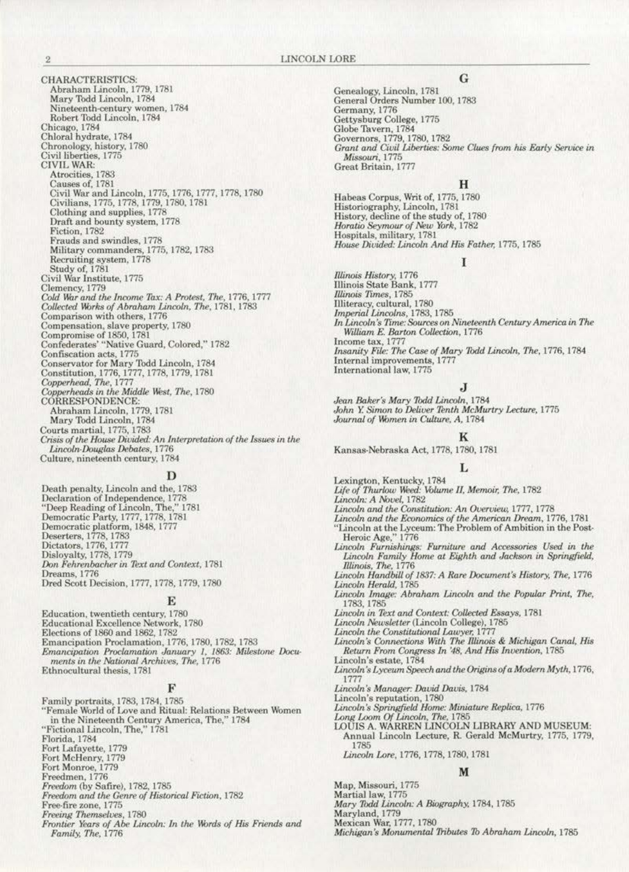**CHARACTERISTICS:** Abraham Lincoln, 1779, 1781 Mary Todd Lincoln, 1784 Nineteenth-century women, 1784 Robert Todd Lincoln, 1784<br>Chicago, 1784<br>Chloral hydrate, 1784 Chronology, history, 1780<br>Civil liberties, 1775<br>CIVIL WAR: Atrocities, 1783 Causes of, 1781 Civil War and Lincoln, 1775, 1776, 1777, 1778, 1780<br>Civilians, 1775, 1778, 1779, 1780, 1781 Clothing and supplies, 1778 Draft and bounty system, 1778<br>Fiction, 1782 Frauds and swindles, 1778 Military commanders, 1775, 1782, 1783 Recruiting system, 1778<br>Study of, 1781<br>Civil War Institute, 1775 Clemency, 1779 Cold War and the Income Tax: A Protest, The, 1776, 1777<br>Collected Works of Abraham Lincoln, The, 1781, 1783 Comparison with others, 1776 Comparison with others, 1776<br>
Compromise of 1850, 1781<br>
Compromise of 1850, 1781<br>
Confederates' "Native Guard, Colored," 1782<br>
Confiscation acts, 1775<br>
Conservator for Mary Todd Lincoln, 1784<br>
Constitution, 1776, 1777, 177 Copperheads in the Middle West, The, 1780<br>CORRESPONDENCE: Abraham Lincoln, 1779, 1781<br>Mary Todd Lincoln, 1784 Courts martial, 1775, 1783 Crisis of the House Divided: An Interpretation of the Issues in the Lincoln-Douglas Debates, 1776<br>Culture, nineteenth century, 1784

Death penalty, Lincoln and the, 1783<br>Declaration of Independence, 1778<br>"Deep Reading of Lincoln, The," 1781<br>Democratic Party, 1777, 1778, 1781<br>Democratic platform, 1848, 1777<br>Disclators, 1776, 1783<br>Dictators, 1776, 1777<br>Di Disloyalty, 1778, 1779 Don Fehrenbacher in Text and Context, 1781 Dreams, 1776 Dred Scott Decision, 1777, 1778, 1779, 1780

### Е

Education, twentieth century, 1780 Educational Excellence Network, 1780<br>Elections of 1860 and 1862, 1782 Emancipation Proclamation, 1776, 1780, 1782, 1783 Emancipation Proclamation January 1, 1863: Milestone Documents in the National Archives, The, 1776 Ethnocultural thesis, 1781

#### F

Family portraits, 1783, 1784, 1785<br>"Female World of Love and Ritual: Relations Between Women<br>in the Nineteenth Century America, The," 1784 "Fictional Lincoln, The," 1781 Florida, 1784<br>Fort Lafayette, 1779<br>Fort McHenry, 1779<br>Fort Monroe, 1779<br>Freedmen, 1776 Freedom (by Safire), 1782, 1785 Freedom and the Genre of Historical Fiction, 1782 Free-fire zone, 1775 Freeing Themselves, 1780<br>Frontier Years of Abe Lincoln: In the Words of His Friends and

Family, The, 1776

# G

Genealogy, Lincoln, 1781<br>General Orders Number 100, 1783 Germany, 1776 Gettysburg College, 1775 Globe Tavern, 1784<br>Governors, 1779, 1780, 1782 Grant and Civil Liberties: Some Clues from his Early Service in Missouri, 1775 Great Britain, 1777

### н

Habeas Corpus, Writ of, 1775, 1780 Historiography, Lincoln, 1781 History, decline of the study of, 1780<br>Horatio Seymour of New York, 1782 Hospitals, military, 1781 House Divided: Lincoln And His Father, 1775, 1785

#### τ

Illinois History, 1776<br>Illinois State Bank, 1777<br>Illinois Times, 1785 Illiteracy, cultural, 1780<br>Imperial Lincolns, 1783, 1785 In Lincoln's Time: Sources on Nineteenth Century America in The William E. Barton Collection, 1776 Income tax, 1777 Insanity File: The Case of Mary Todd Lincoln, The, 1776, 1784 Internal improvements, 1777 International law, 1775

Jean Baker's Mary Todd Lincoln, 1784 John Y. Simon to Deliver Tenth McMurtry Lecture, 1775 Journal of Women in Culture, A, 1784

Kansas-Nebraska Act, 1778, 1780, 1781

- 
- Lexington, Kentucky, 1784<br>Life of Thurlow Weed: Volume II, Memoir, The, 1782
- Lincoln: A Novel, 1782
- Lincoln and the Constitution: An Overview, 1777, 1778
- Lincoln and the Economics of the American Dream, 1776, 1781<br>"Lincoln at the Lyceum: The Problem of Ambition in the Post-
- Heroic Age," 1776 Lincoln Furnishings: Furniture and Accessories Used in the
- Lincoln Family Home at Eighth and Jackson in Springfield, Illinois, The, 1776<br>Lincoln Handbill of 1837: A Rare Document's History, The, 1776
- Lincoln Herald, 1785
- Lincoln Image: Abraham Lincoln and the Popular Print, The, 1783, 1785
- Lincoln in Text and Context: Collected Essays, 1781
- Lincoln Newsletter (Lincoln College), 1785
- Lincoln the Constitutional Lawyer, 1777
- Lincoln's Connections With The Illinois & Michigan Canal, His Return From Congress In '48, And His Invention, 1785
- Lincoln's estate, 1784
- Lincoln's Lyceum Speech and the Origins of a Modern Myth, 1776,<br>1777
- Lincoln's Manager: David Davis, 1784
- 
- Lincoln's reputation, 1780<br>Lincoln's Springfield Home: Miniature Replica, 1776
- 
- Long Loom Of Lincoln, The, 1785<br>LOUIS A. WARREN LINCOLN LIBRARY AND MUSEUM: Annual Lincoln Lecture, R. Gerald McMurtry, 1775, 1779, 1785

Lincoln Lore, 1776, 1778, 1780, 1781

#### M

Map, Missouri, 1775

Martial law, 1775 Mary Todd Lincoln: A Biography, 1784, 1785

Maryland, 1779

Mexican War, 1777, 1780

Michigan's Monumental Tributes To Abraham Lincoln, 1785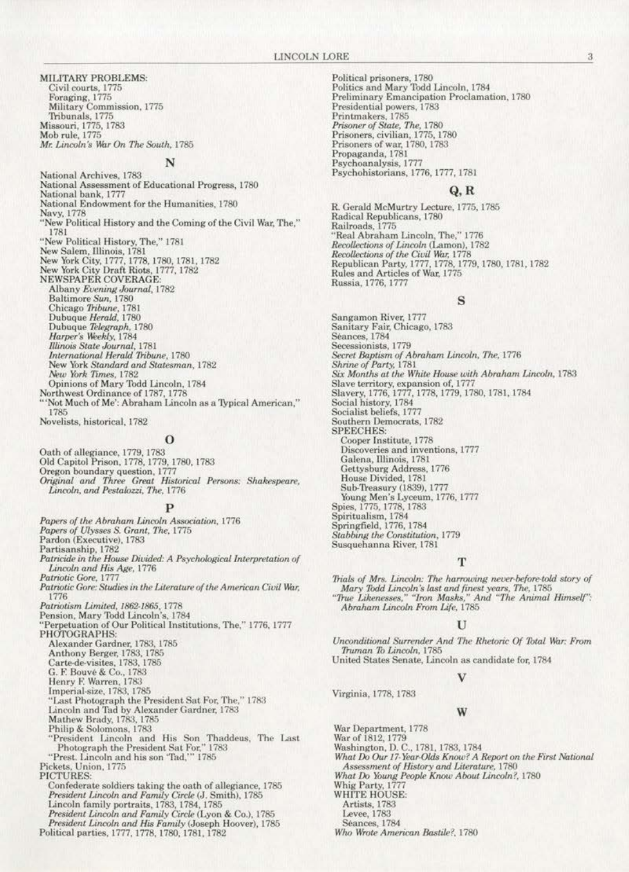**MILITARY PROBLEMS:** Civil courts, 1775<br>Foraging, 1775 Military Commission, 1775 Tribunals, 1775 Missouri, 1775, 1783 Mob rule, 1775 Mr. Lincoln's War On The South, 1785

# N

National Archives, 1783 National Assessment of Educational Progress, 1780 National bank, 1777 National Endowment for the Humanities, 1780 Navy, 1778 "New Political History and the Coming of the Civil War, The," 1781 "New Political History, The," 1781 New Salem, Illinois, 1781<br>New York City, 1777, 1778, 1780, 1781, 1782 New York City Draft Riots, 1777, 1782<br>NEWSPAPER COVERAGE:<br>Albany *Evening Journal*, 1782 Baltimore Sun, 1780<br>Chicago Tribune, 1781<br>Dubuque Herald, 1780<br>Dubuque Telegraph, 1780<br>Harper's Weekly, 1784 Illinois State Journal, 1781 International Herald Tribune, 1780 New York Standard and Statesman, 1782 New York Times, 1782 Opinions of Mary Todd Lincoln, 1784 Northwest Ordinance of 1787, 1778 'Not Much of Me': Abraham Lincoln as a Typical American," 1785

Novelists, historical, 1782

#### 0

Oath of allegiance, 1779, 1783 Old Capitol Prison, 1778, 1779, 1780, 1783 Oregon boundary question, 1777<br>Original and Three Great Historical Persons: Shakespeare, Lincoln, and Pestalozzi, The, 1776

Papers of the Abraham Lincoln Association, 1776 Papers of Ulysses S. Grant, The, 1775<br>Pardon (Executive), 1783 Partisanship, 1782 Patricide in the House Divided: A Psychological Interpretation of Lincoln and His Age, 1776 Patriotic Gore, 1777 Patriotic Gore: Studies in the Literature of the American Civil War, 1776 Patriotism Limited, 1862-1865, 1778<br>Pension, Mary Todd Lincoln's, 1784<br>"Perpetuation of Our Political Institutions, The," 1776, 1777 PHOTOGRAPHS: Alexander Gardner, 1783, 1785 Anthony Berger, 1783, 1785<br>Carte-de-visites, 1783, 1785 G. F. Bouvé & Co., 1783 Henry F. Warren, 1783<br>Imperial-size, 1783, 1785 "Last Photograph the President Sat For, The," 1783 Lincoln and Tad by Alexander Gardner, 1783<br>Mathew Brady, 1783, 1785 Philip & Solomons, 1783 "President Lincoln and His Son Thaddeus, The Last Photograph the President Sat For," 1783 "Prest. Lincoln and his son "Tad,"" 1785<br>Pickets, Union, 1775 PICTURES Confederate soldiers taking the oath of allegiance, 1785<br>President Lincoln and Family Circle (J. Smith), 1785 Lincoln family portraits, 1783, 1784, 1785 President Lincoln and Family Circle (Lyon & Co.), 1785<br>President Lincoln and His Family (Joseph Hoover), 1785<br>Political parties, 1777, 1778, 1780, 1781, 1782

Political prisoners, 1780 Politics and Mary Todd Lincoln, 1784 Preliminary Emancipation Proclamation, 1780 Presidential powers, 1783 Printmakers, 1785<br>Prisoner of State, The, 1780 Prisoners, civilian, 1775, 1780<br>Prisoners of war, 1780, 1783 Propaganda, 1781 Psychoanalysis, 1777 Psychohistorians, 1776, 1777, 1781

### $Q, R$

R. Gerald McMurtry Lecture, 1775, 1785 Radical Republicans, 1780 Railroads, 1775 "Real Abraham Lincoln, The," 1776 Recollections of Lincoln (Lamon), 1782<br>Recollections of the Civil War, 1778 Republican Party, 1777, 1778, 1779, 1780, 1781, 1782 Rules and Articles of War, 1775 Russia, 1776, 1777

### S

Sangamon River, 1777 Sanitary Fair, Chicago, 1783 Séances, 1784 Secessionists, 1779 Secret Baptism of Abraham Lincoln, The, 1776<br>Shrine of Party, 1781 Six Months at the White House with Abraham Lincoln, 1783 Slave territory, expansion of, 1777<br>Slavery, 1776, 1777, 1778, 1779, 1780, 1781, 1784 Social history, 1784<br>Socialist beliefs, 1777 Southern Democrats, 1782 **SPEECHES** Cooper Institute, 1778 Discoveries and inventions, 1777 Galena, Illinois, 1781<br>Gettysburg Address, 1776<br>House Divided, 1781<br>Sub-Treasury (1839), 1777 Young Men's Lyceum, 1776, 1777 Spies, 1775, 1778, 1783<br>Spiritualism, 1784 Springfield, 1776, 1784 Stabbing the Constitution, 1779 Susquehanna River, 1781

#### т

Trials of Mrs. Lincoln: The harrowing never-before-told story of Mary Todd Lincoln's last and finest years, The, 1785<br>"True Likenesses," "Iron Masks," And "The Animal Himself": Abraham Lincoln From Life, 1785

Unconditional Surrender And The Rhetoric Of Total War: From Truman To Lincoln, 1785 United States Senate, Lincoln as candidate for, 1784

Virginia, 1778, 1783

#### W

War Department, 1778

War of 1812, 1779 Washington, D. C., 1781, 1783, 1784

What Do Our 17-Year-Olds Know? A Report on the First National Assessment of History and Literature, 1780 What Do Young People Know About Lincoln?, 1780

Whig Party, 1777<br>WHITE HOUSE:

Artists, 1783

Levee, 1783

Séances, 1784

Who Wrote American Bastile?, 1780